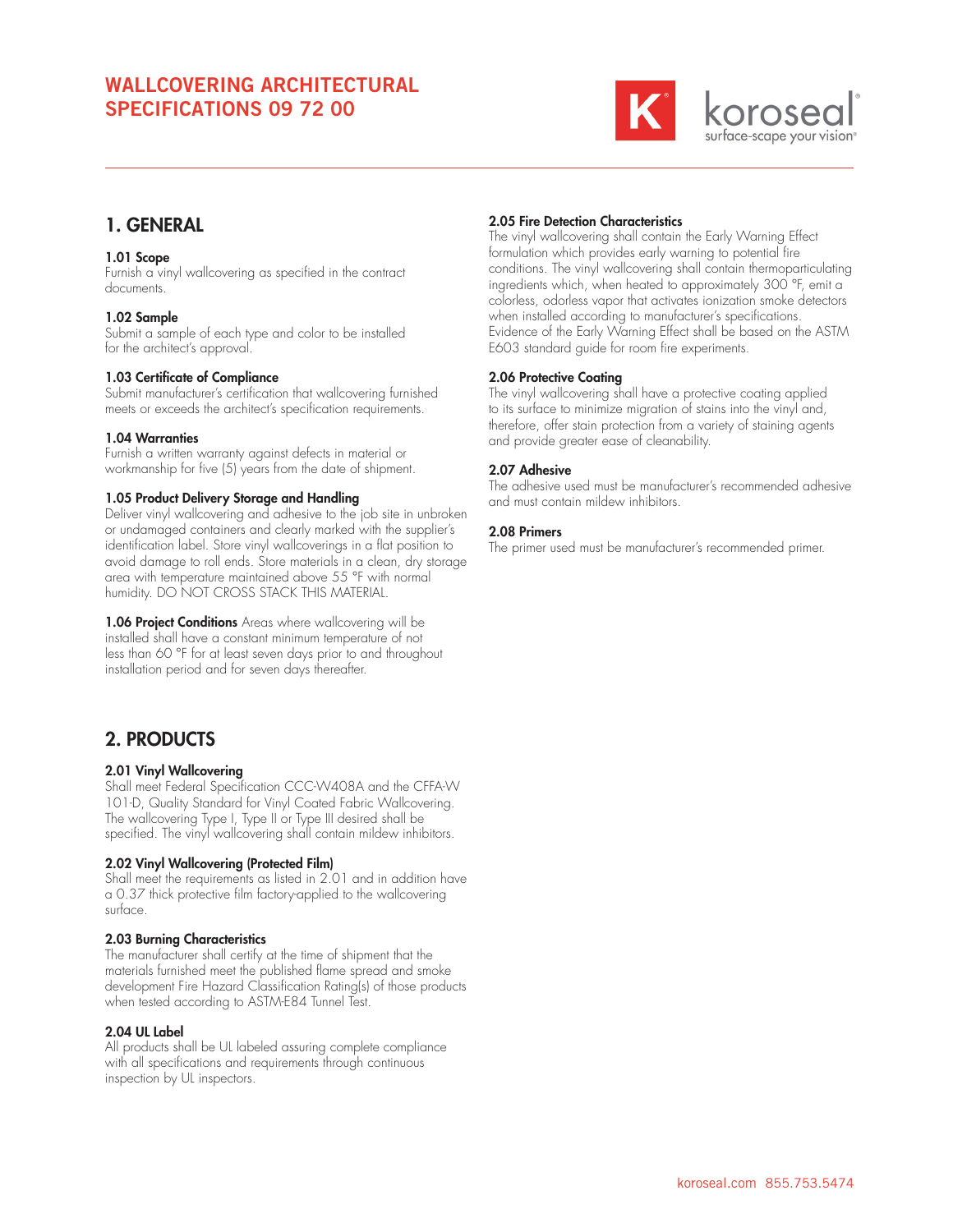# WALLCOVERING ARCHITECTURAL SPECIFICATIONS 09 72 00



# 1. GENERAL

## 1.01 Scope

Furnish a vinyl wallcovering as specified in the contract documents.

## 1.02 Sample

Submit a sample of each type and color to be installed for the architect's approval.

## 1.03 Certificate of Compliance

Submit manufacturer's certification that wallcovering furnished meets or exceeds the architect's specification requirements.

## 1.04 Warranties

Furnish a written warranty against defects in material or workmanship for five (5) years from the date of shipment.

## 1.05 Product Delivery Storage and Handling

Deliver vinyl wallcovering and adhesive to the job site in unbroken or undamaged containers and clearly marked with the supplier's identification label. Store vinyl wallcoverings in a flat position to avoid damage to roll ends. Store materials in a clean, dry storage area with temperature maintained above 55 °F with normal humidity. DO NOT CROSS STACK THIS MATERIAL.

1.06 Project Conditions Areas where wallcovering will be installed shall have a constant minimum temperature of not less than 60 °F for at least seven days prior to and throughout installation period and for seven days thereafter.

# 2. PRODUCTS

## 2.01 Vinyl Wallcovering

Shall meet Federal Specification CCC-W408A and the CFFA-W 101-D, Quality Standard for Vinyl Coated Fabric Wallcovering. The wallcovering Type I, Type II or Type III desired shall be specified. The vinyl wallcovering shall contain mildew inhibitors.

## 2.02 Vinyl Wallcovering (Protected Film)

Shall meet the requirements as listed in 2.01 and in addition have a 0.37 thick protective film factory-applied to the wallcovering surface.

## 2.03 Burning Characteristics

The manufacturer shall certify at the time of shipment that the materials furnished meet the published flame spread and smoke development Fire Hazard Classification Rating(s) of those products when tested according to ASTM-E84 Tunnel Test.

## 2.04 UL Label

All products shall be UL labeled assuring complete compliance with all specifications and requirements through continuous inspection by UL inspectors.

# 2.05 Fire Detection Characteristics

The vinyl wallcovering shall contain the Early Warning Effect formulation which provides early warning to potential fire conditions. The vinyl wallcovering shall contain thermoparticulating ingredients which, when heated to approximately 300 °F, emit a colorless, odorless vapor that activates ionization smoke detectors when installed according to manufacturer's specifications. Evidence of the Early Warning Effect shall be based on the ASTM E603 standard guide for room fire experiments.

## 2.06 Protective Coating

The vinyl wallcovering shall have a protective coating applied to its surface to minimize migration of stains into the vinyl and, therefore, offer stain protection from a variety of staining agents and provide greater ease of cleanability.

## 2.07 Adhesive

The adhesive used must be manufacturer's recommended adhesive and must contain mildew inhibitors.

## 2.08 Primers

The primer used must be manufacturer's recommended primer.